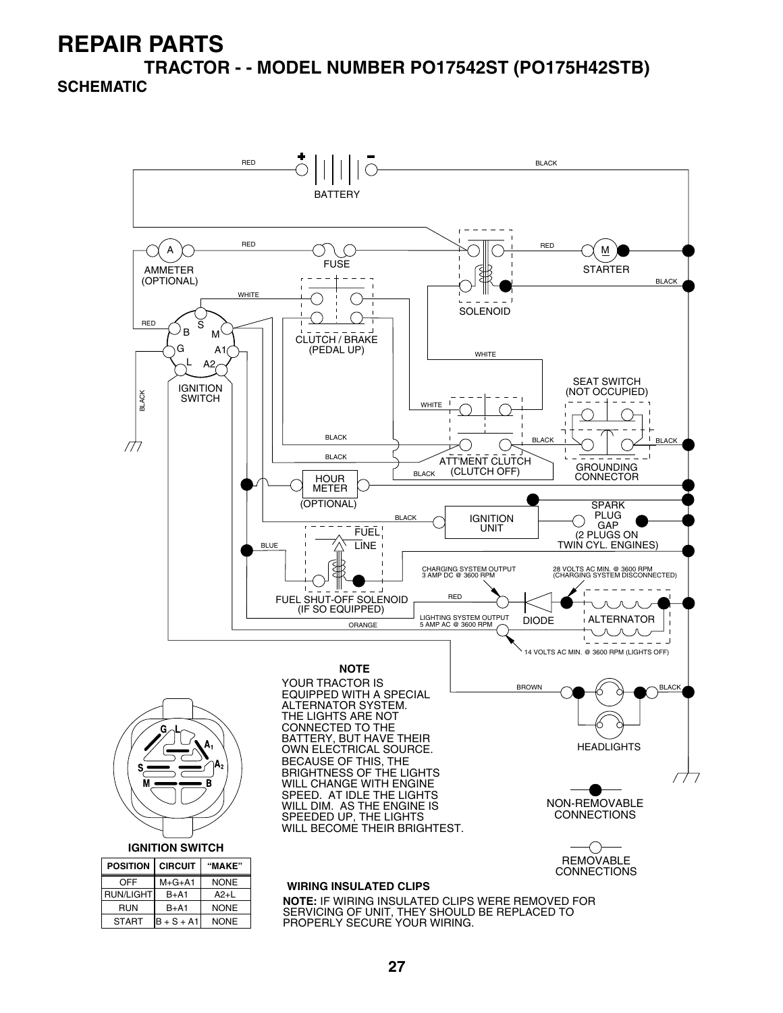**TRACTOR - - MODEL NUMBER PO17542ST (PO175H42STB)**

#### **SCHEMATIC**

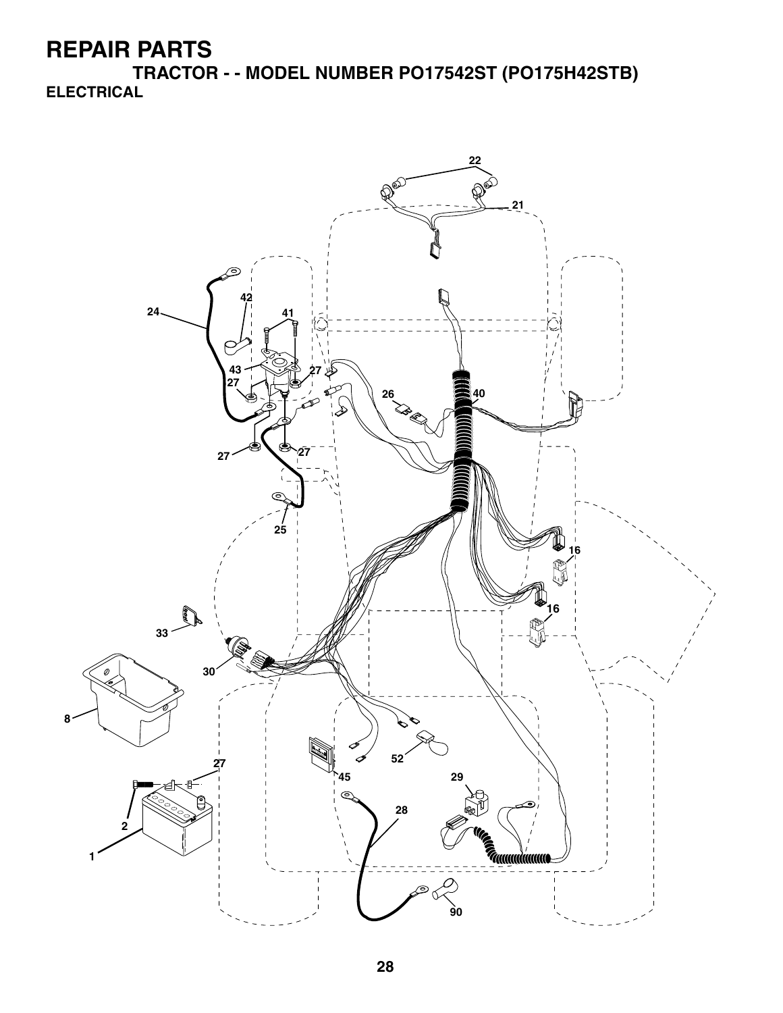**TRACTOR - - MODEL NUMBER PO17542ST (PO175H42STB) ELECTRICAL**

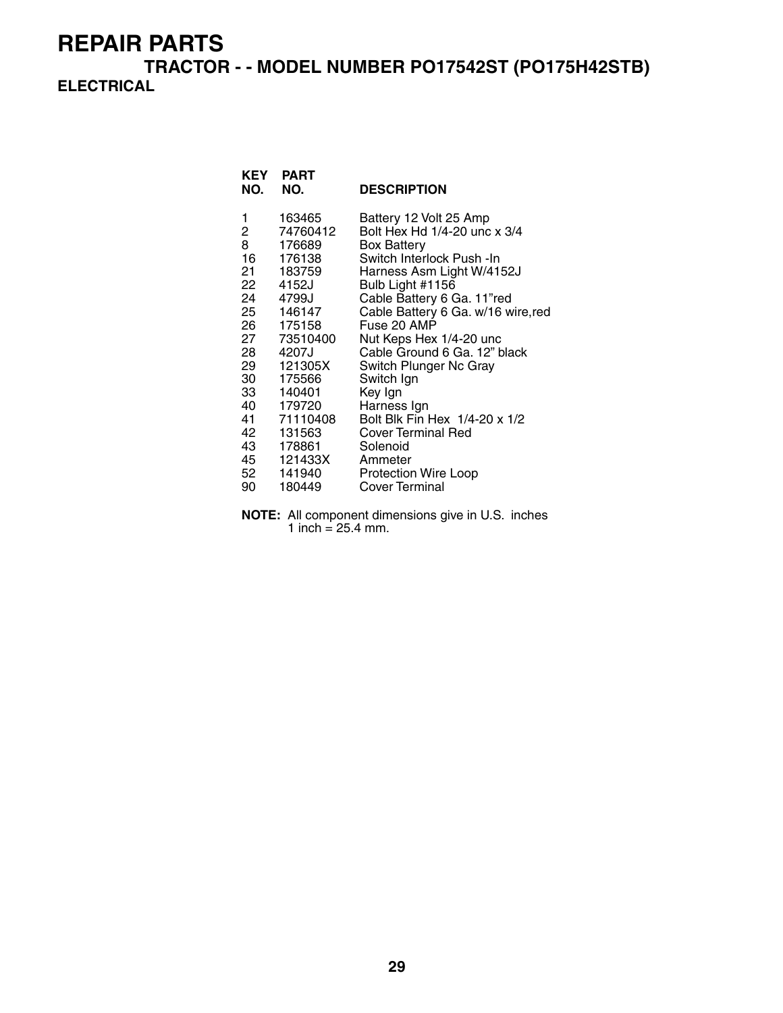**TRACTOR - - MODEL NUMBER PO17542ST (PO175H42STB) ELECTRICAL**

| NO.                            | KEY PART<br>NO.                                                                                                                                                                                                                                          | <b>DESCRIPTION</b>                                                                                                                                                                                                                                                                                                                                                                                                                                                                                         |
|--------------------------------|----------------------------------------------------------------------------------------------------------------------------------------------------------------------------------------------------------------------------------------------------------|------------------------------------------------------------------------------------------------------------------------------------------------------------------------------------------------------------------------------------------------------------------------------------------------------------------------------------------------------------------------------------------------------------------------------------------------------------------------------------------------------------|
| 1<br>$\overline{2}$<br>8<br>90 | 163465<br>74760412<br>176689<br>16 176138<br>21 183759<br>22 4152J<br>24 4799J<br>25 146147<br>26 175158<br>27 73510400<br>28 4207J<br>29 121305X<br>30 175566<br>33 140401<br>40 179720<br>41 71110408<br>42 131563<br>43 178861<br>52 141940<br>180449 | Battery 12 Volt 25 Amp<br>Bolt Hex Hd 1/4-20 unc x 3/4<br><b>Box Battery</b><br>Switch Interlock Push - In<br>Harness Asm Light W/4152J<br>Bulb Light #1156<br>Cable Battery 6 Ga. 11"red<br>Cable Battery 6 Ga. w/16 wire, red<br>Fuse 20 AMP<br>Nut Keps Hex 1/4-20 unc<br>Cable Ground 6 Ga. 12" black<br>Switch Plunger Nc Gray<br>Switch Ign<br>Key Ign<br>Harness Ign<br>Bolt Blk Fin Hex 1/4-20 x 1/2<br>Cover Terminal Red<br>Solenoid<br>Ammeter<br><b>Protection Wire Loop</b><br>Cover Terminal |

**NOTE:** All component dimensions give in U.S. inches 1 inch =  $25.4$  mm.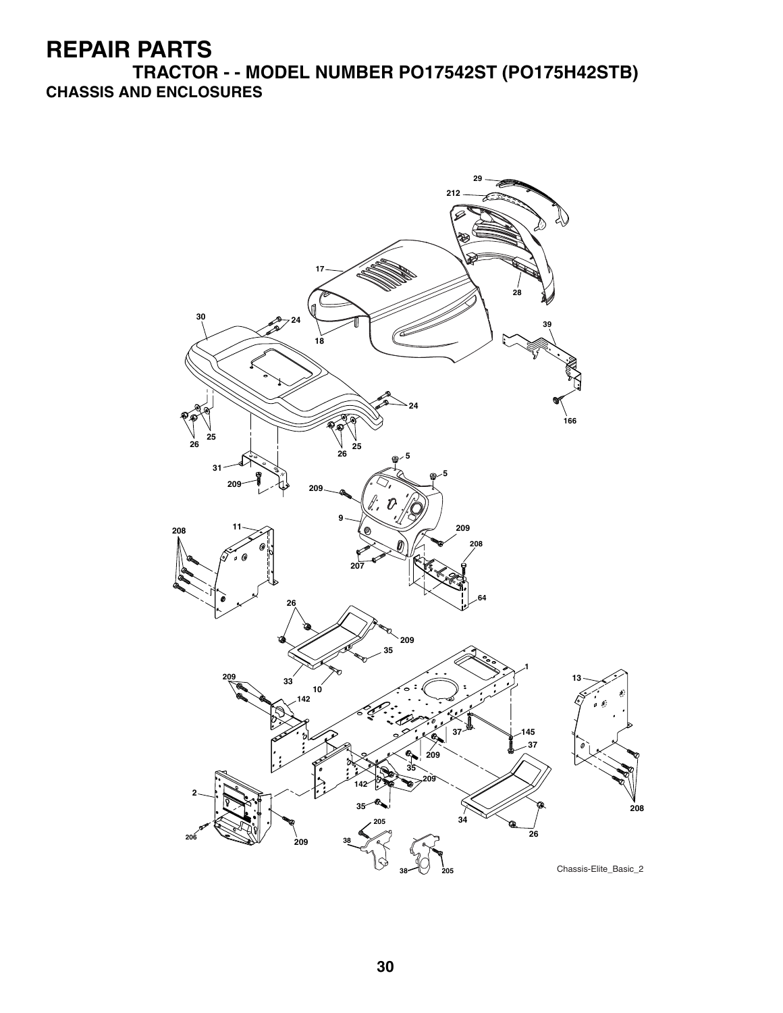**TRACTOR - - MODEL NUMBER PO17542ST (PO175H42STB) CHASSIS AND ENCLOSURES**

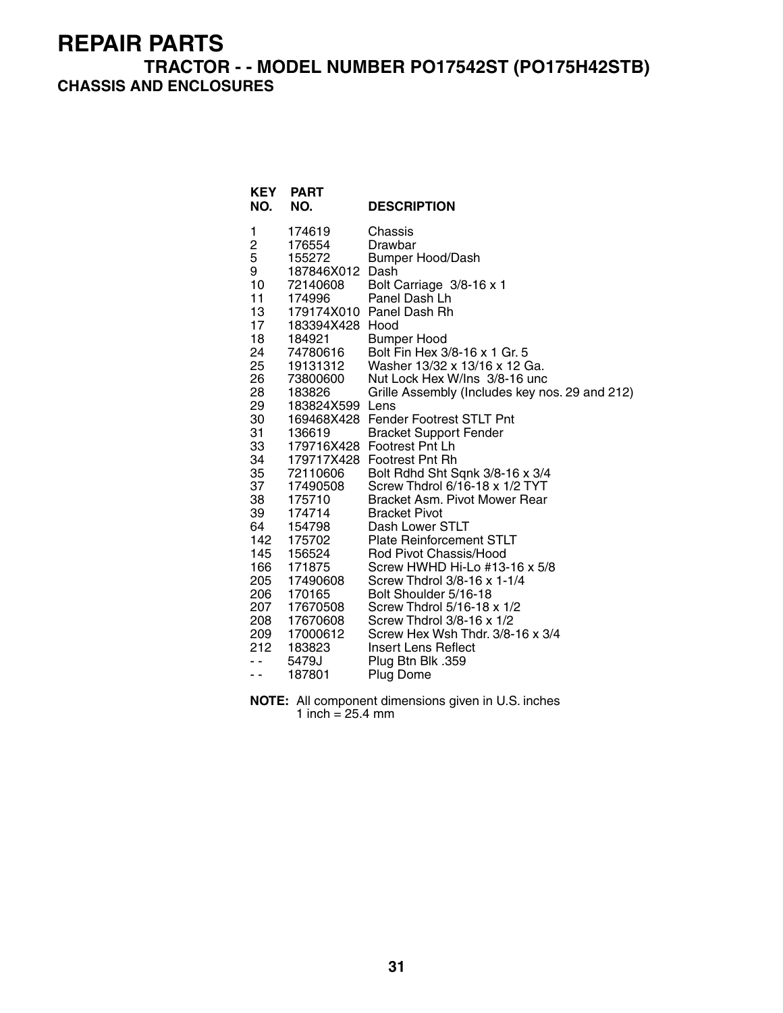#### **TRACTOR - - MODEL NUMBER PO17542ST (PO175H42STB) CHASSIS AND ENCLOSURES**

| <b>KEY</b><br>NO.       | <b>PART</b><br>NO. | <b>DESCRIPTION</b>                             |
|-------------------------|--------------------|------------------------------------------------|
| 1                       | 174619             | Chassis                                        |
| $\overline{\mathbf{c}}$ | 176554             | Drawbar                                        |
| 5                       | 155272             | <b>Bumper Hood/Dash</b>                        |
| 9                       | 187846X012         | Dash                                           |
| 10<br>$11 -$            | 72140608           | Bolt Carriage 3/8-16 x 1                       |
| 13                      | 174996             | Panel Dash Lh<br>179174X010 Panel Dash Rh      |
| 17                      | 183394X428 Hood    |                                                |
| 18                      | 184921             | Bumper Hood                                    |
| 24                      | 74780616           | Bolt Fin Hex 3/8-16 x 1 Gr. 5                  |
| 25                      | 19131312           | Washer 13/32 x 13/16 x 12 Ga.                  |
| 26 —                    | 73800600           | Nut Lock Hex W/Ins 3/8-16 unc                  |
| 28                      | 183826             | Grille Assembly (Includes key nos. 29 and 212) |
| 29                      | 183824X599 Lens    |                                                |
| 30                      |                    | 169468X428 Fender Footrest STLT Pnt            |
| 31                      | 136619             | <b>Bracket Support Fender</b>                  |
| 33                      |                    | 179716X428 Footrest Pnt Lh                     |
| 34                      | 179717X428         | <b>Footrest Pnt Rh</b>                         |
| 35                      | 72110606           | Bolt Rdhd Sht Sqnk 3/8-16 x 3/4                |
| 37                      | 17490508           | Screw Thdrol 6/16-18 x 1/2 TYT                 |
| 38                      | 175710             | Bracket Asm. Pivot Mower Rear                  |
| 39<br>64                | 174714             | <b>Bracket Pivot</b><br>Dash Lower STLT        |
| 142                     | 154798<br>175702   | <b>Plate Reinforcement STLT</b>                |
| 145                     | 156524             | Rod Pivot Chassis/Hood                         |
| 166                     | 171875             | Screw HWHD Hi-Lo #13-16 x 5/8                  |
| 205                     | 17490608           | Screw Thdrol 3/8-16 x 1-1/4                    |
| 206                     | 170165             | Bolt Shoulder 5/16-18                          |
| 207                     | 17670508           | Screw Thdrol 5/16-18 x 1/2                     |
| 208                     | 17670608           | Screw Thdrol 3/8-16 x 1/2                      |
| 209                     | 17000612           | Screw Hex Wsh Thdr. 3/8-16 x 3/4               |
| 212                     | 183823             | Insert Lens Reflect                            |
| - -                     | 5479J              | Plug Btn Blk .359                              |
| $ -$                    | 187801             | Plug Dome                                      |

**NOTE:** All component dimensions given in U.S. inches 1 inch = 25.4 mm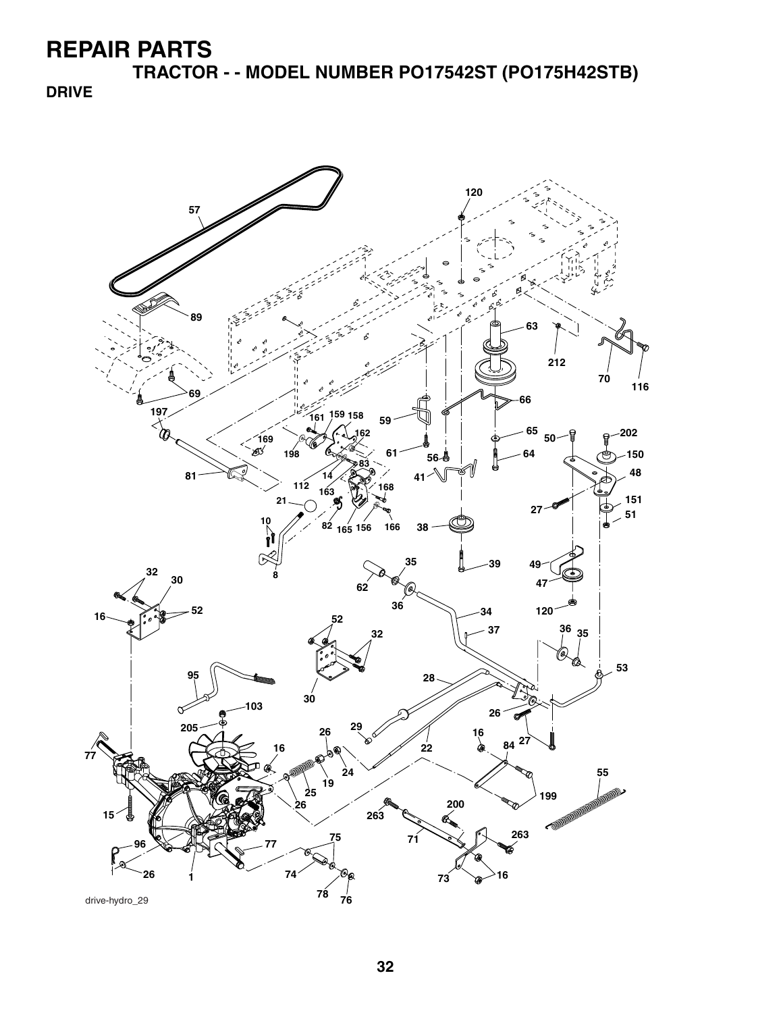**TRACTOR - - MODEL NUMBER PO17542ST (PO175H42STB)**

**DRIVE**

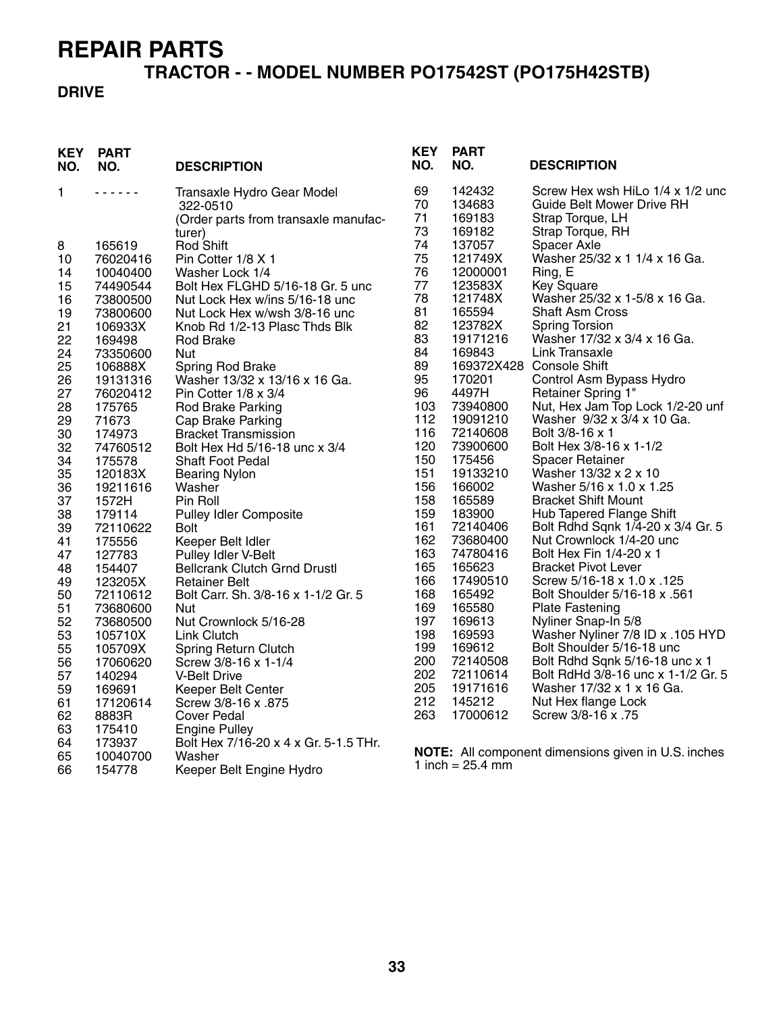# **TRACTOR - - MODEL NUMBER PO17542ST (PO175H42STB)**

#### **DRIVE**

| <b>KEY</b><br>NO. | <b>PART</b><br>NO.  | <b>DESCRIPTION</b>                                             | <b>KEY</b><br>NO. | <b>PART</b><br>NO.          | <b>DESCRIPTION</b>                                         |
|-------------------|---------------------|----------------------------------------------------------------|-------------------|-----------------------------|------------------------------------------------------------|
| 1                 | .                   | Transaxle Hydro Gear Model                                     | 69                | 142432                      | Screw Hex wsh HiLo 1/4 x 1/2 unc                           |
|                   |                     | 322-0510                                                       | 70                | 134683                      | <b>Guide Belt Mower Drive RH</b>                           |
|                   |                     | (Order parts from transaxle manufac-                           | 71                | 169183                      | Strap Torque, LH                                           |
|                   |                     | turer)                                                         | 73                | 169182                      | Strap Torque, RH                                           |
| 8                 | 165619              | Rod Shift                                                      | 74                | 137057                      | Spacer Axle                                                |
| 10                | 76020416            | Pin Cotter 1/8 X 1                                             | 75                | 121749X                     | Washer 25/32 x 1 1/4 x 16 Ga.                              |
| 14                | 10040400            | Washer Lock 1/4                                                | 76                | 12000001                    | Ring, E                                                    |
| 15                | 74490544            | Bolt Hex FLGHD 5/16-18 Gr. 5 unc                               | 77<br>78          | 123583X<br>121748X          | <b>Key Square</b>                                          |
| 16                | 73800500            | Nut Lock Hex w/ins 5/16-18 unc                                 | 81                | 165594                      | Washer 25/32 x 1-5/8 x 16 Ga.<br><b>Shaft Asm Cross</b>    |
| 19                | 73800600<br>106933X | Nut Lock Hex w/wsh 3/8-16 unc<br>Knob Rd 1/2-13 Plasc Thds Blk | 82                | 123782X                     | <b>Spring Torsion</b>                                      |
| 21<br>22          | 169498              | <b>Rod Brake</b>                                               | 83                | 19171216                    | Washer 17/32 x 3/4 x 16 Ga.                                |
| 24                | 73350600            | Nut                                                            | 84                | 169843                      | Link Transaxle                                             |
| 25                | 106888X             | Spring Rod Brake                                               | 89                |                             | 169372X428 Console Shift                                   |
| 26                | 19131316            | Washer 13/32 x 13/16 x 16 Ga.                                  | 95                | 170201                      | Control Asm Bypass Hydro                                   |
| 27                | 76020412            | Pin Cotter 1/8 x 3/4                                           | 96                | 4497H                       | Retainer Spring 1"                                         |
| 28                | 175765              | Rod Brake Parking                                              | 103               | 73940800                    | Nut, Hex Jam Top Lock 1/2-20 unf                           |
| 29                | 71673               | Cap Brake Parking                                              | 112               | 19091210                    | Washer 9/32 x 3/4 x 10 Ga.                                 |
| 30                | 174973              | <b>Bracket Transmission</b>                                    | 116               | 72140608                    | Bolt 3/8-16 x 1                                            |
| 32                | 74760512            | Bolt Hex Hd 5/16-18 unc x 3/4                                  | 120               | 73900600                    | Bolt Hex 3/8-16 x 1-1/2                                    |
| 34                | 175578              | <b>Shaft Foot Pedal</b>                                        | 150               | 175456                      | <b>Spacer Retainer</b>                                     |
| 35                | 120183X             | <b>Bearing Nylon</b>                                           | 151               | 19133210                    | Washer 13/32 x 2 x 10                                      |
| 36                | 19211616            | Washer                                                         | 156               | 166002                      | Washer 5/16 x 1.0 x 1.25                                   |
| 37                | 1572H               | Pin Roll                                                       | 158               | 165589                      | <b>Bracket Shift Mount</b>                                 |
| 38                | 179114              | <b>Pulley Idler Composite</b>                                  | 159               | 183900                      | <b>Hub Tapered Flange Shift</b>                            |
| 39                | 72110622            | Bolt                                                           | 161               | 72140406                    | Bolt Rdhd Sqnk 1/4-20 x 3/4 Gr. 5                          |
| 41                | 175556              | Keeper Belt Idler                                              | 162               | 73680400                    | Nut Crownlock 1/4-20 unc                                   |
| 47                | 127783              | Pulley Idler V-Belt                                            | 163               | 74780416                    | Bolt Hex Fin 1/4-20 x 1                                    |
| 48                | 154407              | <b>Bellcrank Clutch Grnd Drustl</b>                            | 165               | 165623                      | <b>Bracket Pivot Lever</b>                                 |
| 49                | 123205X             | <b>Retainer Belt</b>                                           | 166               | 17490510                    | Screw 5/16-18 x 1.0 x .125                                 |
| 50                | 72110612            | Bolt Carr. Sh. 3/8-16 x 1-1/2 Gr. 5                            | 168<br>169        | 165492                      | Bolt Shoulder 5/16-18 x .561                               |
| 51                | 73680600            | Nut                                                            | 197               | 165580<br>169613            | <b>Plate Fastening</b><br>Nyliner Snap-In 5/8              |
| 52<br>53          | 73680500            | Nut Crownlock 5/16-28                                          | 198               | 169593                      | Washer Nyliner 7/8 ID x .105 HYD                           |
| 55                | 105710X<br>105709X  | Link Clutch<br><b>Spring Return Clutch</b>                     | 199               | 169612                      | Bolt Shoulder 5/16-18 unc                                  |
| 56                | 17060620            | Screw 3/8-16 x 1-1/4                                           | 200               | 72140508                    | Bolt Rdhd Sqnk 5/16-18 unc x 1                             |
| 57                | 140294              | <b>V-Belt Drive</b>                                            | 202               | 72110614                    | Bolt RdHd 3/8-16 unc x 1-1/2 Gr. 5                         |
| 59                | 169691              | Keeper Belt Center                                             | 205               | 19171616                    | Washer 17/32 x 1 x 16 Ga.                                  |
| 61                | 17120614            | Screw 3/8-16 x .875                                            | 212               | 145212                      | Nut Hex flange Lock                                        |
| 62                | 8883R               | Cover Pedal                                                    | 263               | 17000612                    | Screw 3/8-16 x .75                                         |
| 63                | 175410              | <b>Engine Pulley</b>                                           |                   |                             |                                                            |
| 64                | 173937              | Bolt Hex 7/16-20 x 4 x Gr. 5-1.5 THr.                          |                   |                             |                                                            |
| 65                | 10040700            | Washer                                                         |                   |                             | <b>NOTE:</b> All component dimensions given in U.S. inches |
| 66                | 154778              | Keeper Belt Engine Hydro                                       |                   | 1 inch = $25.4 \text{ min}$ |                                                            |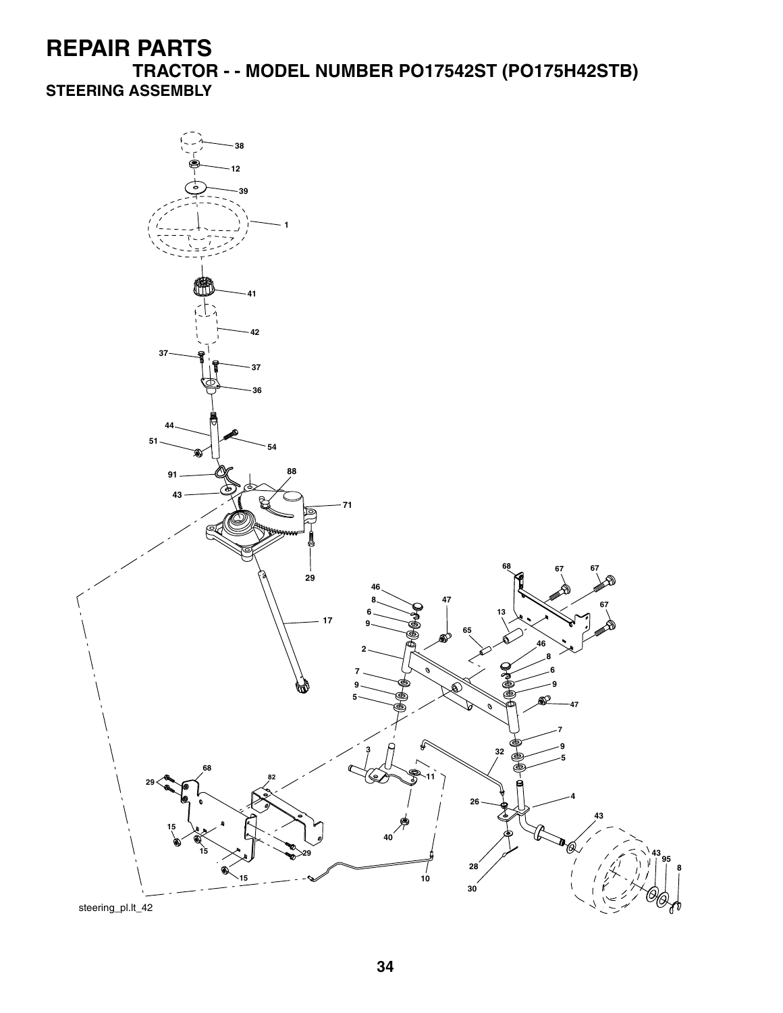**TRACTOR - - MODEL NUMBER PO17542ST (PO175H42STB) STEERING ASSEMBLY**

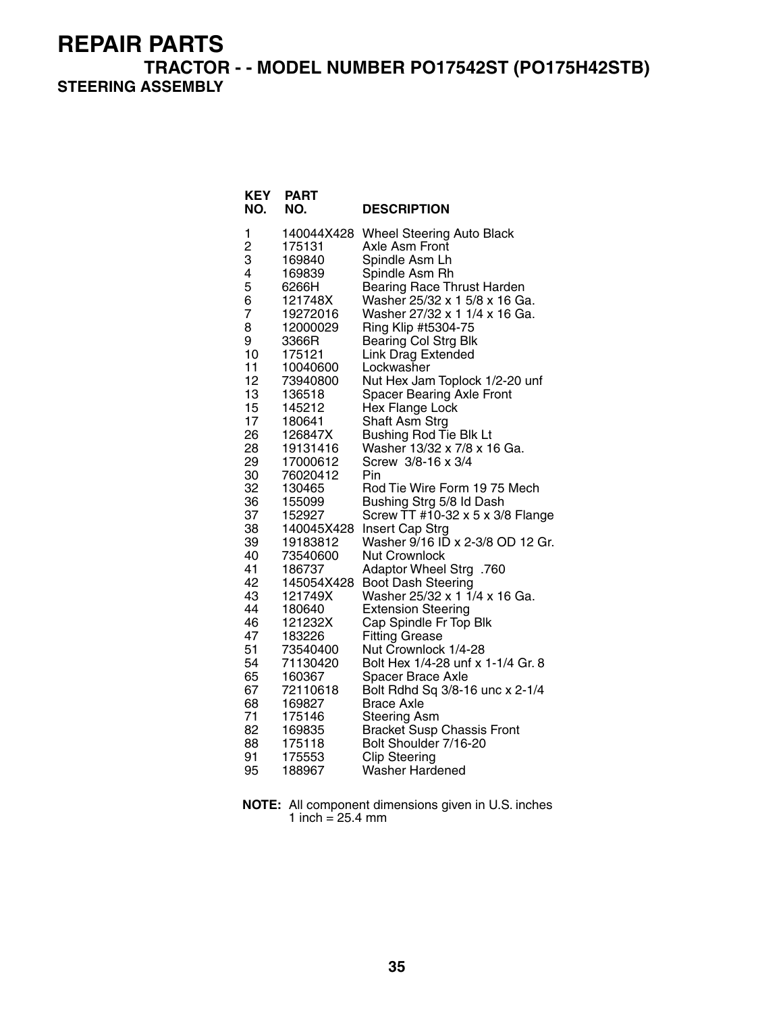**TRACTOR - - MODEL NUMBER PO17542ST (PO175H42STB) STEERING ASSEMBLY**

| <b>KEY</b><br>NO.                                                                                                                                                                                                                         | <b>PART</b><br>NO.                                                                                                                                                                                                                                                                                                                                                                                                                                           | <b>DESCRIPTION</b>                                                                                                                                                                                                                                                                                                                                                                                                                                                                                                                                                                                                                                                                                                                                                                                                                                                                                                                                                                                                                                                                                                                                            |
|-------------------------------------------------------------------------------------------------------------------------------------------------------------------------------------------------------------------------------------------|--------------------------------------------------------------------------------------------------------------------------------------------------------------------------------------------------------------------------------------------------------------------------------------------------------------------------------------------------------------------------------------------------------------------------------------------------------------|---------------------------------------------------------------------------------------------------------------------------------------------------------------------------------------------------------------------------------------------------------------------------------------------------------------------------------------------------------------------------------------------------------------------------------------------------------------------------------------------------------------------------------------------------------------------------------------------------------------------------------------------------------------------------------------------------------------------------------------------------------------------------------------------------------------------------------------------------------------------------------------------------------------------------------------------------------------------------------------------------------------------------------------------------------------------------------------------------------------------------------------------------------------|
| 1<br>2<br>3<br>4<br>5<br>6<br>7<br>8<br>9<br>10<br>11<br>12<br>13<br>15<br>17<br>26<br>28<br>29<br>30<br>32<br>36<br>37<br>38<br>39<br>40<br>41<br>42<br>43<br>44<br>46<br>47<br>51<br>54<br>65<br>67<br>68<br>71<br>82<br>88<br>91<br>95 | 140044X428<br>175131<br>169840<br>169839<br>6266H<br>121748X<br>19272016<br>12000029<br>3366R<br>175121<br>10040600<br>73940800<br>136518<br>145212<br>180641<br>126847X<br>19131416<br>17000612<br>76020412<br>130465<br>155099<br>152927<br>140045X428<br>19183812<br>73540600<br>186737<br>145054X428<br>121749X<br>180640<br>121232X<br>183226<br>73540400<br>71130420<br>160367<br>72110618<br>169827<br>175146<br>169835<br>175118<br>175553<br>188967 | <b>Wheel Steering Auto Black</b><br>Axle Asm Front<br>Spindle Asm Lh<br>Spindle Asm Rh<br><b>Bearing Race Thrust Harden</b><br>Washer 25/32 x 1 5/8 x 16 Ga.<br>Washer 27/32 x 1 1/4 x 16 Ga.<br>Ring Klip #t5304-75<br><b>Bearing Col Strg Blk</b><br><b>Link Drag Extended</b><br>Lockwasher<br>Nut Hex Jam Toplock 1/2-20 unf<br><b>Spacer Bearing Axle Front</b><br>Hex Flange Lock<br>Shaft Asm Strg<br><b>Bushing Rod Tie Blk Lt</b><br>Washer 13/32 x 7/8 x 16 Ga.<br>Screw 3/8-16 x 3/4<br>Pin<br>Rod Tie Wire Form 19 75 Mech<br>Bushing Strg 5/8 Id Dash<br>Screw TT #10-32 x 5 x 3/8 Flange<br><b>Insert Cap Strg</b><br>Washer 9/16 ID x 2-3/8 OD 12 Gr.<br><b>Nut Crownlock</b><br>Adaptor Wheel Strg .760<br><b>Boot Dash Steering</b><br>Washer 25/32 x 1 1/4 x 16 Ga.<br><b>Extension Steering</b><br>Cap Spindle Fr Top Blk<br><b>Fitting Grease</b><br>Nut Crownlock 1/4-28<br>Bolt Hex 1/4-28 unf x 1-1/4 Gr. 8<br><b>Spacer Brace Axle</b><br>Bolt Rdhd Sq 3/8-16 unc x 2-1/4<br><b>Brace Axle</b><br><b>Steering Asm</b><br><b>Bracket Susp Chassis Front</b><br>Bolt Shoulder 7/16-20<br><b>Clip Steering</b><br><b>Washer Hardened</b> |
|                                                                                                                                                                                                                                           |                                                                                                                                                                                                                                                                                                                                                                                                                                                              |                                                                                                                                                                                                                                                                                                                                                                                                                                                                                                                                                                                                                                                                                                                                                                                                                                                                                                                                                                                                                                                                                                                                                               |

**NOTE:** All component dimensions given in U.S. inches 1 inch = 25.4 mm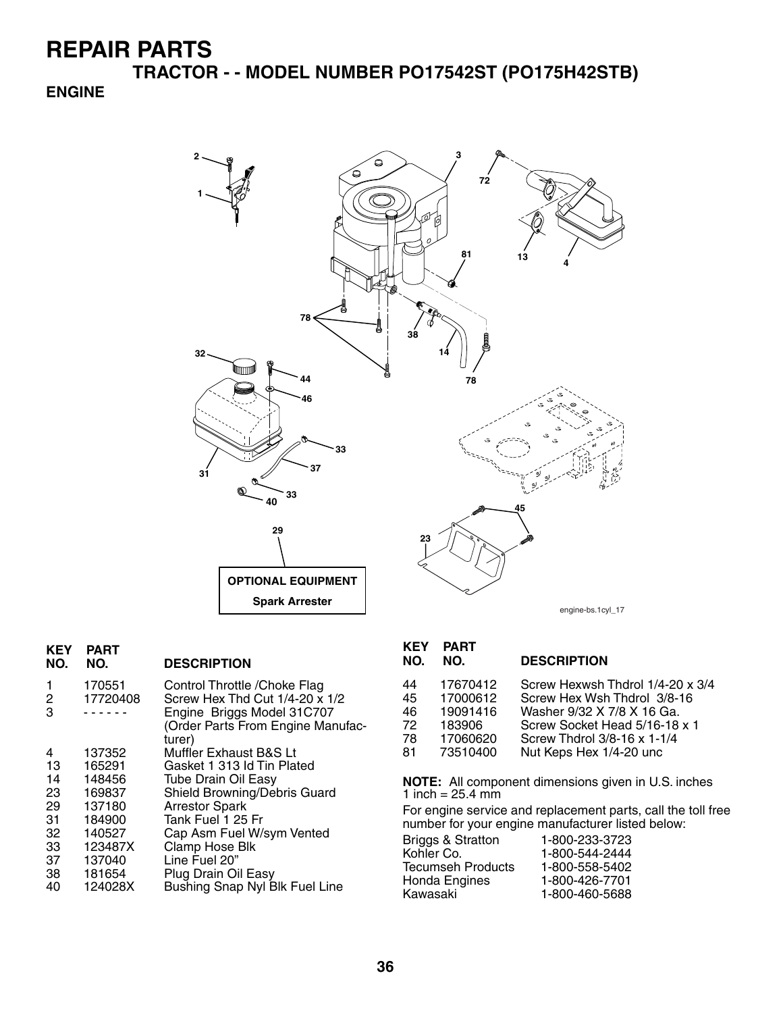**TRACTOR - - MODEL NUMBER PO17542ST (PO175H42STB)**

#### **ENGINE**



| <b>PART</b><br>NO. | <b>DESCRIPTION</b>                                                                                                                           |
|--------------------|----------------------------------------------------------------------------------------------------------------------------------------------|
| 170551<br>17720408 | Control Throttle / Choke Flag<br>Screw Hex Thd Cut 1/4-20 x 1/2<br>Engine Briggs Model 31C707<br>(Order Parts From Engine Manufac-<br>turer) |
| 137352             | Muffler Exhaust B&S Lt                                                                                                                       |
|                    | Gasket 1 313 Id Tin Plated                                                                                                                   |
|                    | <b>Tube Drain Oil Easy</b>                                                                                                                   |
| 169837             | Shield Browning/Debris Guard                                                                                                                 |
| 137180             | <b>Arrestor Spark</b>                                                                                                                        |
| 184900             | Tank Fuel 1 25 Fr                                                                                                                            |
| 140527             | Cap Asm Fuel W/sym Vented                                                                                                                    |
| 123487X            | Clamp Hose Blk                                                                                                                               |
| 137040             | Line Fuel 20"                                                                                                                                |
| 181654             | Plug Drain Oil Easy                                                                                                                          |
| 124028X            | Bushing Snap Nyl Blk Fuel Line                                                                                                               |
|                    | 165291<br>148456                                                                                                                             |

# **KEY PART**

#### **DESCRIPTION**

| 44 | 17670412 | Screw Hexwsh Thdrol 1/4-20 x 3/4 |
|----|----------|----------------------------------|
| 45 | 17000612 | Screw Hex Wsh Thdrol 3/8-16      |
| 46 | 19091416 | Washer 9/32 X 7/8 X 16 Ga.       |
| 72 | 183906   | Screw Socket Head 5/16-18 x 1    |
| 78 | 17060620 | Screw Thdrol 3/8-16 x 1-1/4      |
| 81 | 73510400 | Nut Keps Hex 1/4-20 unc          |
|    |          |                                  |

**NOTE:** All component dimensions given in U.S. inches 1 inch =  $25.4 \, \text{mm}$ 

For engine service and replacement parts, call the toll free number for your engine manufacturer listed below:

| 1-800-233-3723 |
|----------------|
| 1-800-544-2444 |
| 1-800-558-5402 |
| 1-800-426-7701 |
| 1-800-460-5688 |
|                |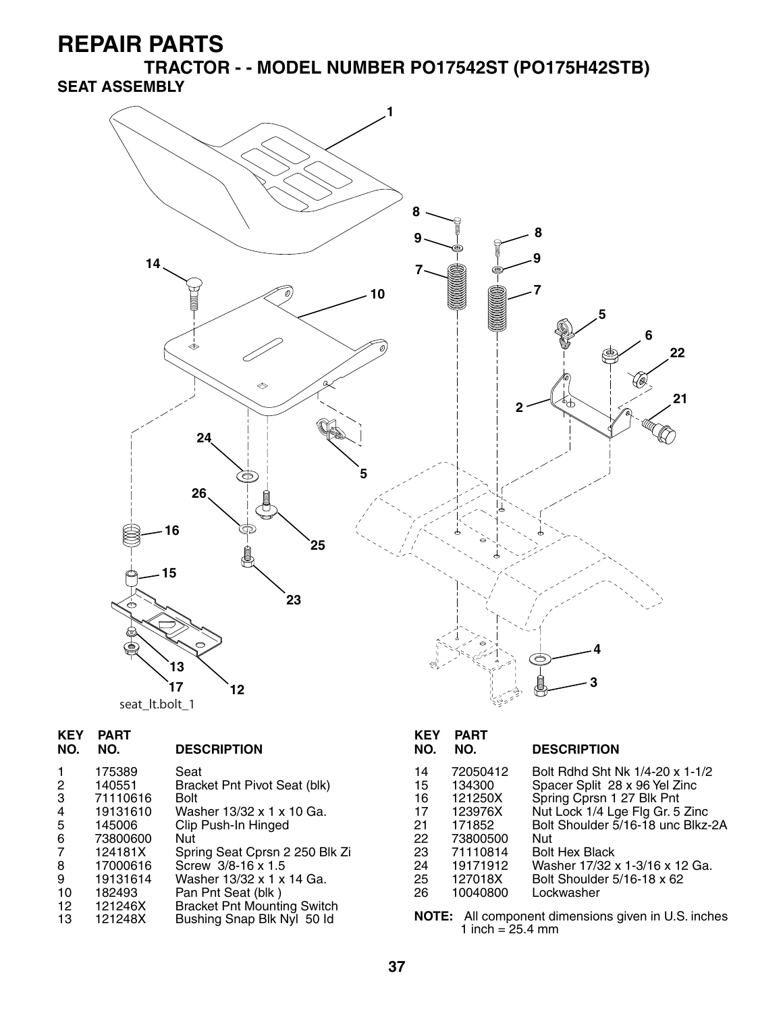**TRACTOR - - MODEL NUMBER PO17542ST (PO175H42STB) SEAT ASSEMBLY**



| <b>KEY</b><br>NO.                        | <b>PART</b><br>NO.                        | <b>DESCRIPTION</b>                                                                                                  | <b>KEY</b><br>NO.    | <b>PART</b><br>NO.                         | <b>DESCRIPTION</b>                                                                                                               |
|------------------------------------------|-------------------------------------------|---------------------------------------------------------------------------------------------------------------------|----------------------|--------------------------------------------|----------------------------------------------------------------------------------------------------------------------------------|
| $\mathbf{1}$<br>$\overline{2}$<br>3<br>4 | 175389<br>140551<br>71110616<br>19131610  | Seat<br>Bracket Pnt Pivot Seat (blk)<br><b>Bolt</b><br>Washer 13/32 x 1 x 10 Ga.                                    | 14<br>15<br>16<br>17 | 72050412<br>134300<br>121250X<br>123976X   | Bolt Rdhd Sht Nk 1/4-20 x 1-1/2<br>Spacer Split 28 x 96 Yel Zinc<br>Spring Cprsn 1 27 Blk Pnt<br>Nut Lock 1/4 Lge Flg Gr. 5 Zinc |
| 5<br>6<br>$\overline{7}$                 | 145006<br>73800600<br>124181X<br>17000616 | Clip Push-In Hinged<br>Nut<br>Spring Seat Cprsn 2 250 Blk Zi<br>Screw 3/8-16 x 1.5                                  | 21<br>22<br>23       | 171852<br>73800500<br>71110814<br>19171912 | Bolt Shoulder 5/16-18 unc Blkz-2A<br>Nut<br><b>Bolt Hex Black</b><br>Washer 17/32 x 1-3/16 x 12 Ga.                              |
| 8<br>9<br>10<br>12<br>13                 | 19131614<br>182493<br>121246X<br>121248X  | Washer 13/32 x 1 x 14 Ga.<br>Pan Pnt Seat (blk)<br><b>Bracket Pnt Mounting Switch</b><br>Bushing Snap Blk Nyl 50 ld | 24<br>25<br>26       | 127018X<br>10040800<br>1 inch = $25.4$ mm  | Bolt Shoulder 5/16-18 x 62<br>Lockwasher<br>NOTE: All component dimensions given in U.S. inches                                  |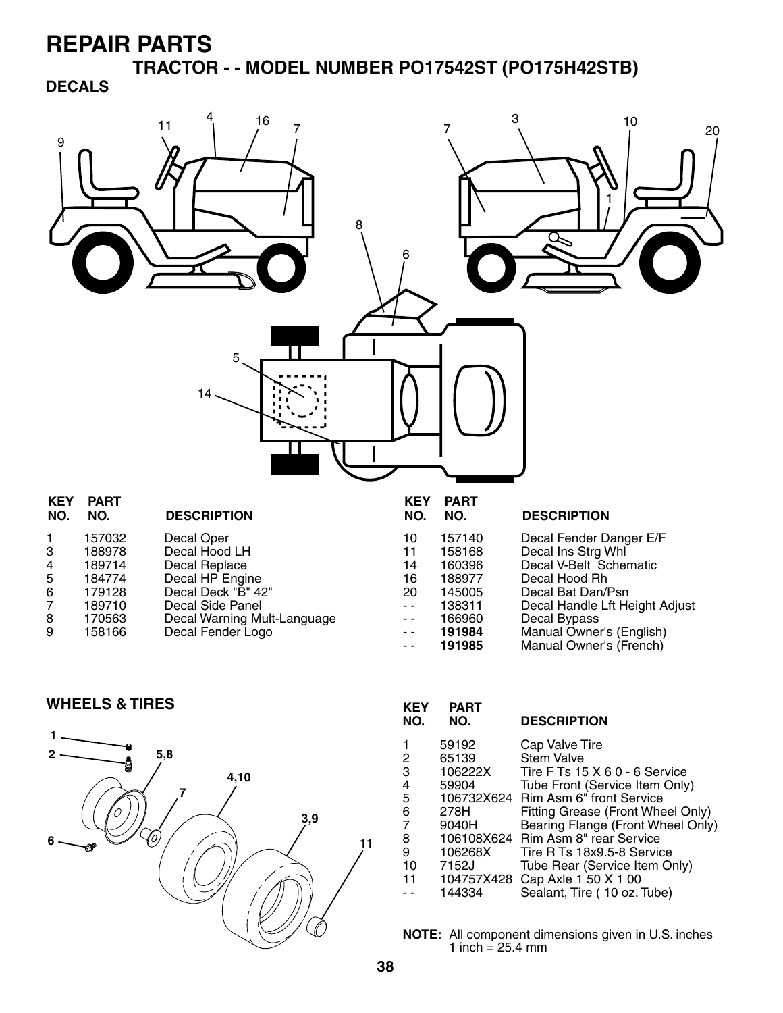**TRACTOR - - MODEL NUMBER PO17542ST (PO175H42STB) DECALS**



- 7 189710 Decal Side Panel<br>8 170563 Decal Warning Mu 8 170563 Decal Warning Mult-Language
- Decal Fender Logo

- -- 166960 Decal Bypass<br>-- 191984 Manual Owne
- - **191984** Manual Owner's (English) Manual Owner's (French)

WHEELS & TIRES *KEY PART* 



| KEY<br>NO.                                       | PART<br>NO.                                                                                         | <b>DESCRIPTION</b>                                                                                                                                                                                                                                                                                                                         |
|--------------------------------------------------|-----------------------------------------------------------------------------------------------------|--------------------------------------------------------------------------------------------------------------------------------------------------------------------------------------------------------------------------------------------------------------------------------------------------------------------------------------------|
| 2<br>3<br>4<br>5<br>6<br>7<br>8<br>9<br>10<br>11 | 59192<br>65139<br>106222X<br>59904<br>106732X624<br>278H<br>9040H<br>106268X<br>7152J<br>104757X428 | Cap Valve Tire<br><b>Stem Valve</b><br>Tire F Ts 15 X 6 0 - 6 Service<br>Tube Front (Service Item Only)<br>Rim Asm 6" front Service<br>Fitting Grease (Front Wheel Only)<br>Bearing Flange (Front Wheel Only)<br>106108X624 Rim Asm 8" rear Service<br>Tire R Ts 18x9.5-8 Service<br>Tube Rear (Service Item Only)<br>Cap Axle 1 50 X 1 00 |
|                                                  | 144334                                                                                              | Sealant, Tire (10 oz. Tube)                                                                                                                                                                                                                                                                                                                |

**NOTE:** All component dimensions given in U.S. inches 1 inch =  $25.4 \, \text{mm}$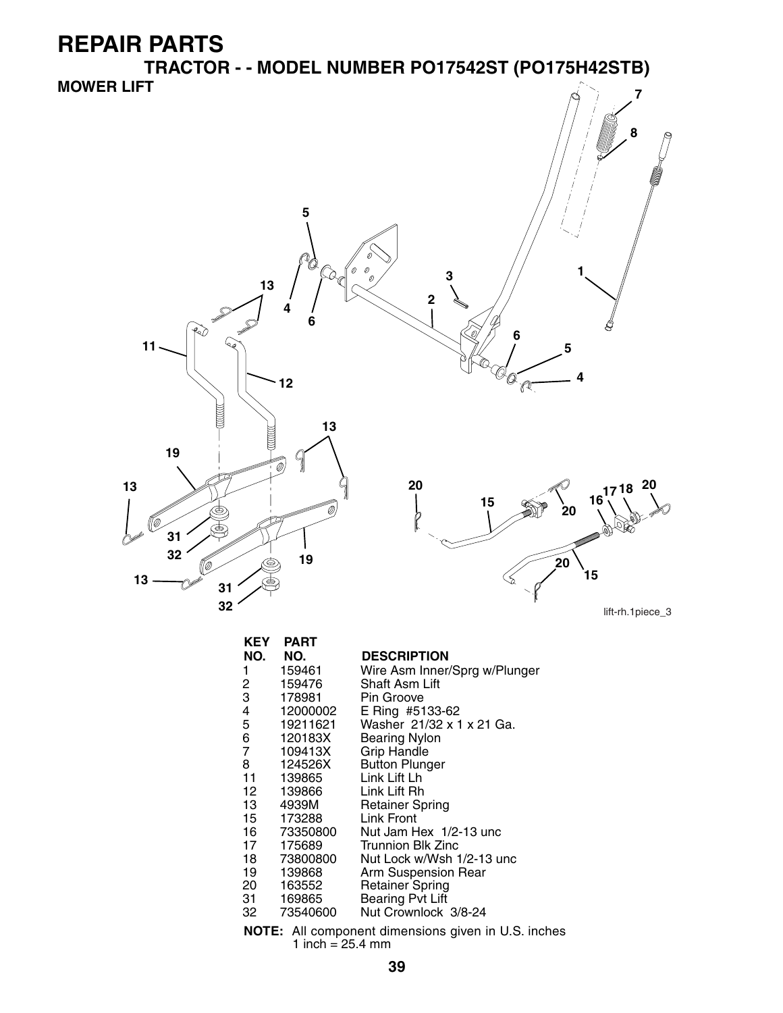**TRACTOR - - MODEL NUMBER PO17542ST (PO175H42STB) MOWER LIFT 7**



| <b>KEY</b>                                                 | <b>PART</b> |                               |  |  |
|------------------------------------------------------------|-------------|-------------------------------|--|--|
| NO.                                                        | NO.         | <b>DESCRIPTION</b>            |  |  |
| 1                                                          | 159461      | Wire Asm Inner/Sprg w/Plunger |  |  |
| 2                                                          | 159476      | Shaft Asm Lift                |  |  |
| 3                                                          | 178981      | Pin Groove                    |  |  |
|                                                            | 12000002    | E Ring #5133-62               |  |  |
| 4<br>5<br>6<br>7                                           | 19211621    | Washer 21/32 x 1 x 21 Ga.     |  |  |
|                                                            | 120183X     | Bearing Nylon                 |  |  |
|                                                            | 109413X     | <b>Grip Handle</b>            |  |  |
| 8                                                          | 124526X     | <b>Button Plunger</b>         |  |  |
| 11                                                         | 139865      | Link Lift Lh                  |  |  |
| 12 —                                                       | 139866      | Link Lift Rh                  |  |  |
| 13 —                                                       | 4939M       | <b>Retainer Spring</b>        |  |  |
| 15                                                         | 173288      | Link Front                    |  |  |
| 16 —                                                       | 73350800    | Nut Jam Hex 1/2-13 unc        |  |  |
| 17                                                         | 175689      | <b>Trunnion Blk Zinc</b>      |  |  |
| 18 —                                                       | 73800800    | Nut Lock w/Wsh 1/2-13 unc     |  |  |
| 19                                                         | 139868      | Arm Suspension Rear           |  |  |
| 20                                                         | 163552      | <b>Retainer Spring</b>        |  |  |
| 31 —                                                       | 169865      | <b>Bearing Pvt Lift</b>       |  |  |
| 32 —                                                       | 73540600    | Nut Crownlock 3/8-24          |  |  |
| <b>NOTE:</b> All component dimensions given in U.S. inches |             |                               |  |  |

1 inch = 25.4 mm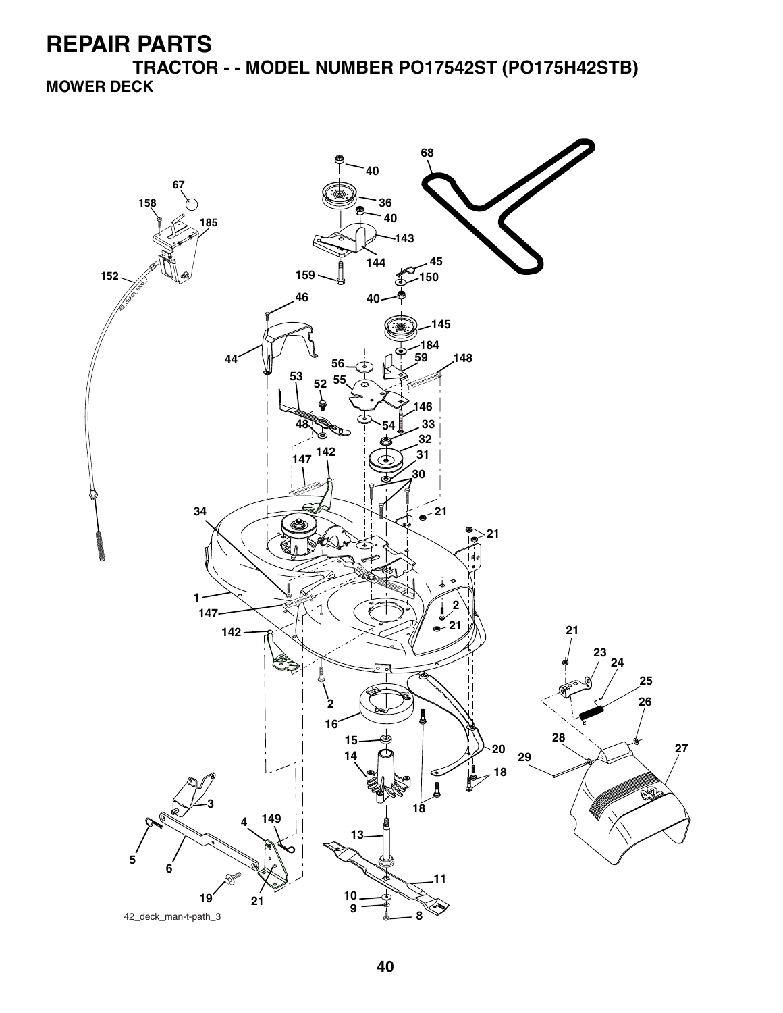**TRACTOR - - MODEL NUMBER PO17542ST (PO175H42STB) MOWER DECK**